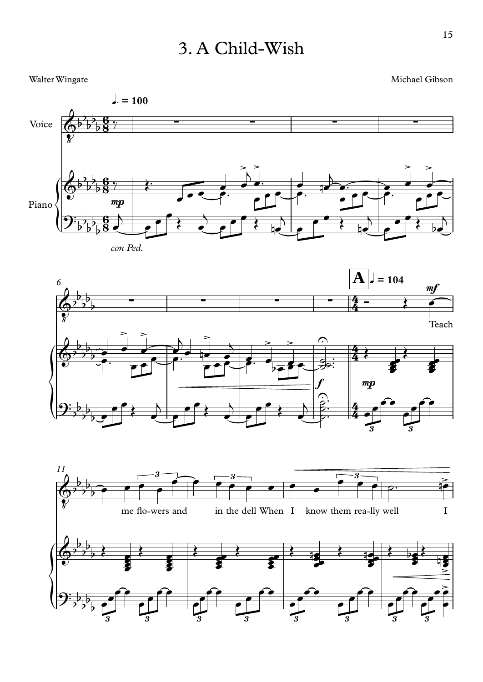## 3. A Child-Wish

## Walter Wingate Michael Gibson





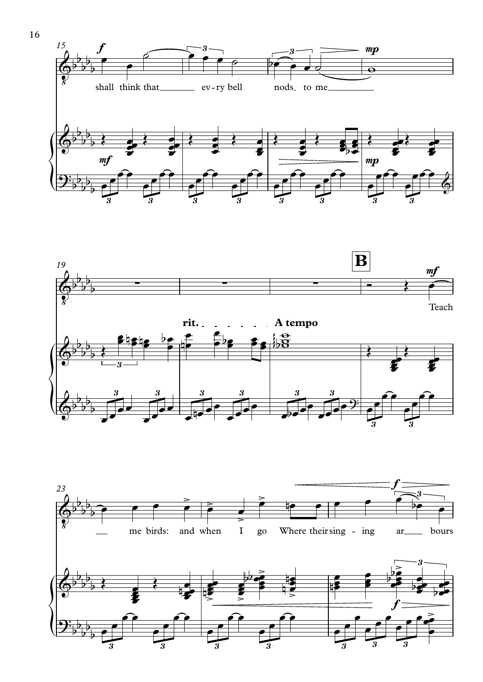





16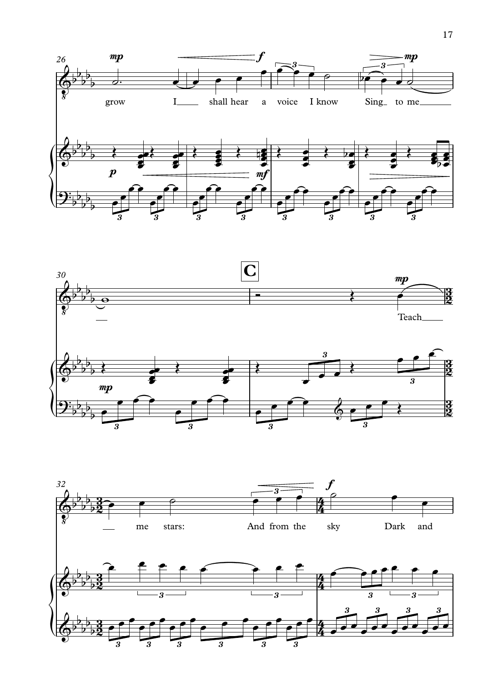



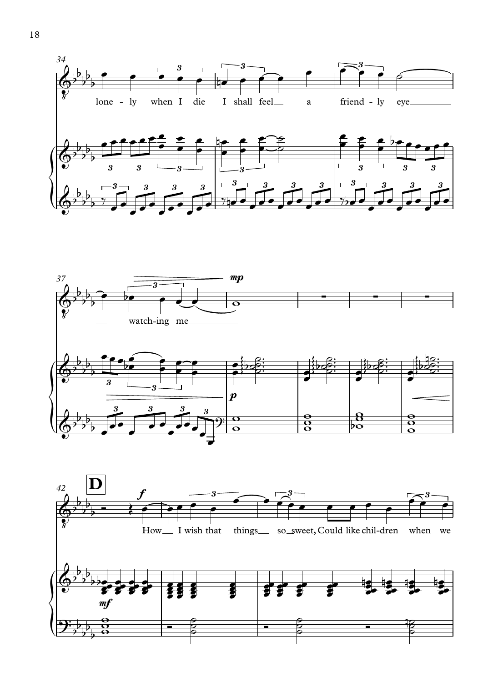



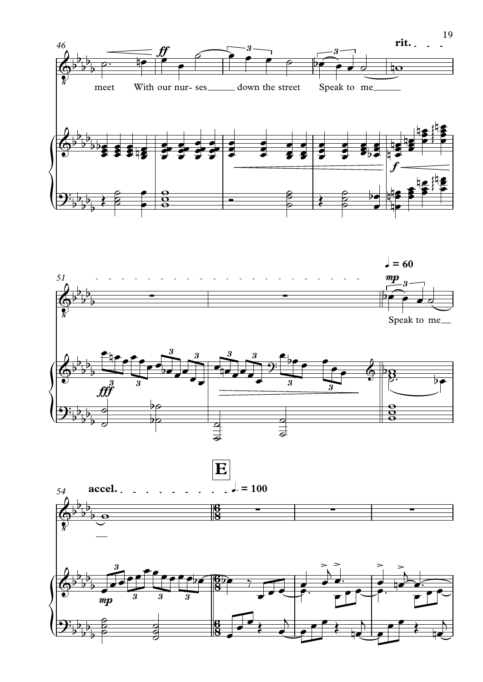